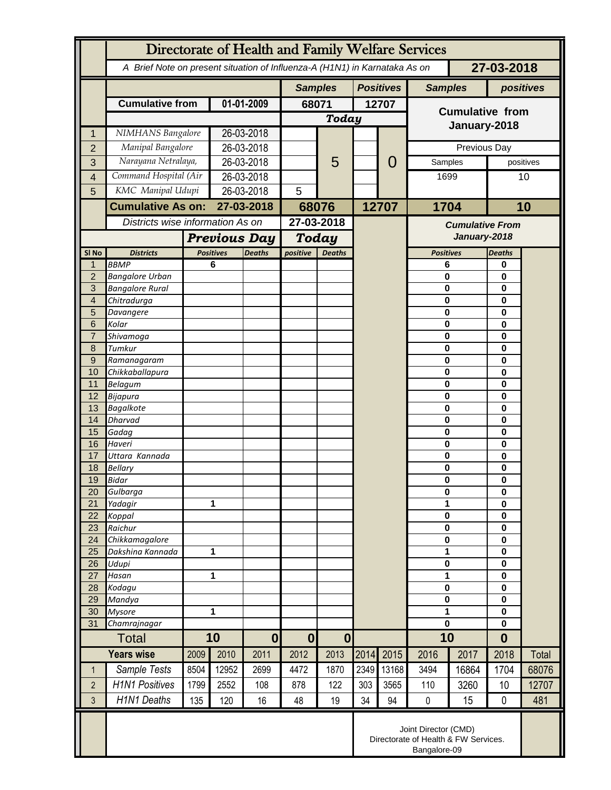|                     | Directorate of Health and Family Welfare Services                                        |                       |                                                          |                          |                          |                        |                  |                                        |                         |           |                   |               |  |
|---------------------|------------------------------------------------------------------------------------------|-----------------------|----------------------------------------------------------|--------------------------|--------------------------|------------------------|------------------|----------------------------------------|-------------------------|-----------|-------------------|---------------|--|
|                     | 27-03-2018<br>A Brief Note on present situation of Influenza-A (H1N1) in Karnataka As on |                       |                                                          |                          |                          |                        |                  |                                        |                         |           |                   |               |  |
|                     |                                                                                          |                       |                                                          | <b>Samples</b>           |                          |                        | <b>Positives</b> | <b>Samples</b>                         |                         | positives |                   |               |  |
|                     | <b>Cumulative from</b>                                                                   | 01-01-2009            |                                                          | 68071                    |                          | 12707                  |                  | <b>Cumulative from</b><br>January-2018 |                         |           |                   |               |  |
|                     |                                                                                          |                       |                                                          |                          | <b>Today</b>             |                        |                  |                                        |                         |           |                   |               |  |
| 1                   | NIMHANS Bangalore                                                                        |                       | 26-03-2018                                               |                          |                          |                        |                  |                                        |                         |           |                   |               |  |
| $\overline{2}$      | Manipal Bangalore<br>Narayana Netralaya,                                                 |                       | 26-03-2018                                               |                          |                          |                        |                  | 0                                      | Previous Day<br>Samples |           |                   |               |  |
| 3                   |                                                                                          | Command Hospital (Air |                                                          | 26-03-2018<br>26-03-2018 |                          | 5                      |                  |                                        | 1699                    |           | positives<br>10   |               |  |
| $\overline{4}$<br>5 | KMC Manipal Udupi                                                                        |                       | 26-03-2018                                               |                          | 5                        |                        |                  |                                        |                         |           |                   |               |  |
|                     | <b>Cumulative As on:</b>                                                                 |                       | 27-03-2018                                               |                          |                          |                        |                  | 12707                                  | 1704                    |           | 10                |               |  |
|                     | Districts wise information As on                                                         |                       |                                                          |                          | 68076<br>27-03-2018      |                        |                  |                                        |                         |           |                   |               |  |
|                     |                                                                                          |                       |                                                          |                          |                          |                        |                  | <b>Cumulative From</b><br>January-2018 |                         |           |                   |               |  |
| SI No               | <b>Districts</b>                                                                         |                       | <b>Previous Day</b><br><b>Positives</b><br><b>Deaths</b> |                          | positive                 | Today<br><b>Deaths</b> |                  |                                        | <b>Positives</b>        |           |                   | <b>Deaths</b> |  |
| $\mathbf 1$         | <b>BBMP</b>                                                                              |                       | 6                                                        |                          |                          |                        |                  |                                        | 6                       |           | 0                 |               |  |
| $\overline{2}$      | <b>Bangalore Urban</b>                                                                   |                       |                                                          |                          |                          |                        |                  |                                        | $\mathbf 0$             |           | 0                 |               |  |
| 3                   | <b>Bangalore Rural</b>                                                                   |                       |                                                          |                          |                          |                        |                  |                                        | $\mathbf 0$             |           | 0                 |               |  |
| 4                   | Chitradurga                                                                              |                       |                                                          |                          |                          |                        |                  |                                        | $\bf{0}$                |           | 0                 |               |  |
| 5<br>6              | Davangere<br>Kolar                                                                       |                       |                                                          |                          |                          |                        |                  |                                        | $\bf{0}$<br>$\mathbf 0$ |           | 0                 |               |  |
| $\overline{7}$      | Shivamoga                                                                                |                       |                                                          |                          |                          |                        |                  |                                        | $\bf{0}$                |           | 0<br>0            |               |  |
| 8                   | Tumkur                                                                                   |                       |                                                          |                          |                          |                        |                  |                                        | $\bf{0}$                |           | 0                 |               |  |
| 9                   | Ramanagaram                                                                              |                       |                                                          |                          |                          |                        |                  |                                        | $\mathbf 0$             |           | 0                 |               |  |
| 10                  | Chikkaballapura                                                                          |                       |                                                          |                          |                          |                        |                  |                                        | $\bf{0}$                |           | 0                 |               |  |
| 11                  | <b>Belagum</b>                                                                           |                       |                                                          |                          |                          |                        |                  |                                        | $\bf{0}$<br>$\mathbf 0$ |           | 0                 |               |  |
| 12<br>13            | Bijapura<br><b>Bagalkote</b>                                                             |                       |                                                          |                          |                          |                        |                  |                                        | $\bf{0}$                |           | 0<br>0            |               |  |
| 14                  | <b>Dharvad</b>                                                                           |                       |                                                          |                          |                          |                        |                  |                                        | $\bf{0}$                |           | 0                 |               |  |
| 15                  | Gadag                                                                                    |                       |                                                          |                          |                          |                        |                  |                                        | $\bf{0}$                |           | 0                 |               |  |
| 16                  | Haveri                                                                                   |                       |                                                          |                          |                          |                        |                  |                                        | $\mathbf 0$             |           | 0                 |               |  |
| 17                  | Uttara Kannada                                                                           |                       |                                                          |                          |                          |                        |                  |                                        | $\bf{0}$                |           | 0                 |               |  |
| 18<br>19            | <b>Bellary</b><br>Bidar                                                                  |                       |                                                          |                          |                          |                        |                  |                                        | 0<br>$\mathbf 0$        |           | 0<br>0            |               |  |
| 20                  | Gulbarga                                                                                 |                       |                                                          |                          |                          |                        |                  |                                        | $\pmb{0}$               |           |                   | 0             |  |
| 21                  | Yadagir                                                                                  |                       | 1                                                        |                          |                          |                        |                  |                                        | 1                       |           | 0                 |               |  |
| 22                  | Koppal                                                                                   |                       |                                                          |                          |                          |                        |                  |                                        | $\mathbf 0$             |           | 0                 |               |  |
| 23                  | Raichur                                                                                  |                       |                                                          |                          |                          |                        |                  |                                        | $\mathbf 0$             |           | 0                 |               |  |
| 24<br>25            | Chikkamagalore<br>Dakshina Kannada                                                       | 1                     |                                                          |                          |                          |                        |                  |                                        | $\mathbf 0$<br>1        |           | 0<br>0            |               |  |
| 26                  | Udupi                                                                                    |                       |                                                          |                          |                          |                        |                  |                                        | $\pmb{0}$               |           | 0                 |               |  |
| 27                  | Hasan                                                                                    | 1                     |                                                          |                          |                          |                        |                  |                                        | 1                       |           | 0                 |               |  |
| 28                  | Kodagu                                                                                   |                       |                                                          |                          |                          |                        |                  |                                        | $\mathbf 0$             |           | 0                 |               |  |
| 29                  | Mandya                                                                                   |                       |                                                          |                          |                          |                        |                  |                                        | $\mathbf 0$             |           | 0                 |               |  |
| 30                  | <b>Mysore</b><br>Chamrajnagar                                                            |                       | 1                                                        |                          |                          |                        |                  |                                        | $\mathbf{1}$            |           | 0<br>$\mathbf{0}$ |               |  |
| 31                  | 10<br><b>Total</b>                                                                       |                       | $\bf{0}$                                                 |                          | $\mathbf{0}$<br>$\bf{0}$ |                        |                  |                                        | $\mathbf 0$<br>10       |           | $\bf{0}$          |               |  |
| <b>Years wise</b>   |                                                                                          | 2009                  | 2010                                                     | 2011                     | 2012                     | 2013                   | 2014             | 2015                                   | 2016                    | 2017      | 2018              | Total         |  |
| $\mathbf 1$         | Sample Tests                                                                             | 8504                  | 12952                                                    | 2699                     | 4472                     | 1870                   | 2349             | 13168                                  | 3494                    | 16864     | 1704              | 68076         |  |
|                     | <b>H1N1 Positives</b>                                                                    |                       |                                                          |                          |                          |                        |                  |                                        |                         | 3260      | 10                | 12707         |  |
| $\overline{2}$      | <b>H1N1 Deaths</b>                                                                       | 1799<br>135           | 2552<br>120                                              | 108<br>16                | 878<br>48                | 122<br>19              | 303<br>34        | 3565<br>94                             | 110<br>$\pmb{0}$        |           |                   |               |  |
| 3                   |                                                                                          |                       |                                                          |                          |                          |                        |                  |                                        |                         | 15        | 0                 | 481           |  |
|                     | Joint Director (CMD)<br>Directorate of Health & FW Services.<br>Bangalore-09             |                       |                                                          |                          |                          |                        |                  |                                        |                         |           |                   |               |  |